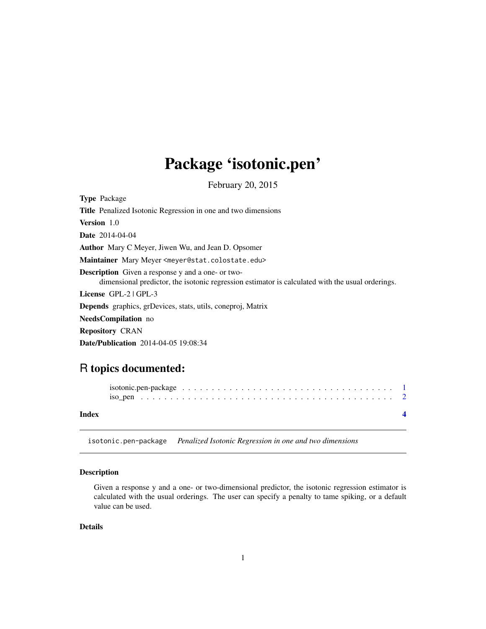## <span id="page-0-0"></span>Package 'isotonic.pen'

February 20, 2015

Type Package Title Penalized Isotonic Regression in one and two dimensions Version 1.0 Date 2014-04-04 Author Mary C Meyer, Jiwen Wu, and Jean D. Opsomer Maintainer Mary Meyer <meyer@stat.colostate.edu> Description Given a response y and a one- or twodimensional predictor, the isotonic regression estimator is calculated with the usual orderings. License GPL-2 | GPL-3 Depends graphics, grDevices, stats, utils, coneproj, Matrix NeedsCompilation no Repository CRAN Date/Publication 2014-04-05 19:08:34

### R topics documented:

| Index |  |  |  |  |  |  |  |  |  |  |  |  |  |  |  |  |  |  |  |  |
|-------|--|--|--|--|--|--|--|--|--|--|--|--|--|--|--|--|--|--|--|--|

isotonic.pen-package *Penalized Isotonic Regression in one and two dimensions*

#### Description

Given a response y and a one- or two-dimensional predictor, the isotonic regression estimator is calculated with the usual orderings. The user can specify a penalty to tame spiking, or a default value can be used.

#### Details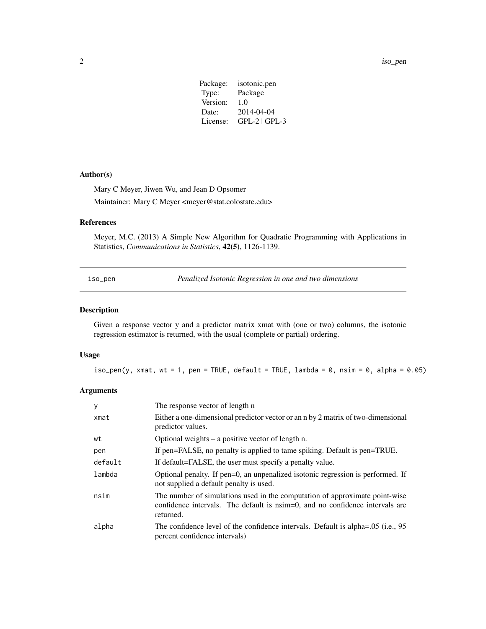| Package: | isotonic.pen    |
|----------|-----------------|
| Type:    | Package         |
| Version: | 1.0             |
| Date:    | 2014-04-04      |
| License: | $GPL-2$ $GPL-3$ |
|          |                 |

#### <span id="page-1-0"></span>Author(s)

Mary C Meyer, Jiwen Wu, and Jean D Opsomer Maintainer: Mary C Meyer <meyer@stat.colostate.edu>

#### References

Meyer, M.C. (2013) A Simple New Algorithm for Quadratic Programming with Applications in Statistics, *Communications in Statistics*, 42(5), 1126-1139.

| sο | pen |
|----|-----|
|    |     |
|    |     |

*Penalized Isotonic Regression in one and two dimensions* 

#### Description

Given a response vector y and a predictor matrix xmat with (one or two) columns, the isotonic regression estimator is returned, with the usual (complete or partial) ordering.

#### Usage

iso\_pen(y, xmat, wt = 1, pen = TRUE, default = TRUE, lambda = 0, nsim = 0, alpha = 0.05)

#### Arguments

| У       | The response vector of length n                                                                                                                                          |
|---------|--------------------------------------------------------------------------------------------------------------------------------------------------------------------------|
| xmat    | Either a one-dimensional predictor vector or an n by 2 matrix of two-dimensional<br>predictor values.                                                                    |
| wt      | Optional weights – a positive vector of length n.                                                                                                                        |
| pen     | If pen=FALSE, no penalty is applied to tame spiking. Default is pen=TRUE.                                                                                                |
| default | If default=FALSE, the user must specify a penalty value.                                                                                                                 |
| lambda  | Optional penalty. If pen=0, an unpenalized isotonic regression is performed. If<br>not supplied a default penalty is used.                                               |
| nsim    | The number of simulations used in the computation of approximate point-wise<br>confidence intervals. The default is nsim=0, and no confidence intervals are<br>returned. |
| alpha   | The confidence level of the confidence intervals. Default is alpha=.05 (i.e., 95)<br>percent confidence intervals)                                                       |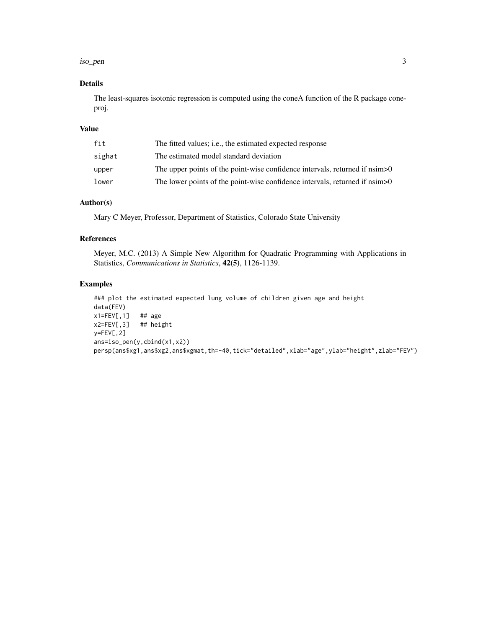#### iso\_pen 3

#### Details

The least-squares isotonic regression is computed using the coneA function of the R package coneproj.

#### Value

| fit    | The fitted values; <i>i.e.</i> , the estimated expected response              |
|--------|-------------------------------------------------------------------------------|
| sighat | The estimated model standard deviation                                        |
| upper  | The upper points of the point-wise confidence intervals, returned if nsim > 0 |
| lower  | The lower points of the point-wise confidence intervals, returned if nsim > 0 |

#### Author(s)

Mary C Meyer, Professor, Department of Statistics, Colorado State University

#### References

Meyer, M.C. (2013) A Simple New Algorithm for Quadratic Programming with Applications in Statistics, *Communications in Statistics*, 42(5), 1126-1139.

#### Examples

```
### plot the estimated expected lung volume of children given age and height
data(FEV)
x1=FEV[,1] ## age
x2=FEV[,3] ## height
y=FEV[,2]
ans=iso_pen(y,cbind(x1,x2))
persp(ans$xg1,ans$xg2,ans$xgmat,th=-40,tick="detailed",xlab="age",ylab="height",zlab="FEV")
```